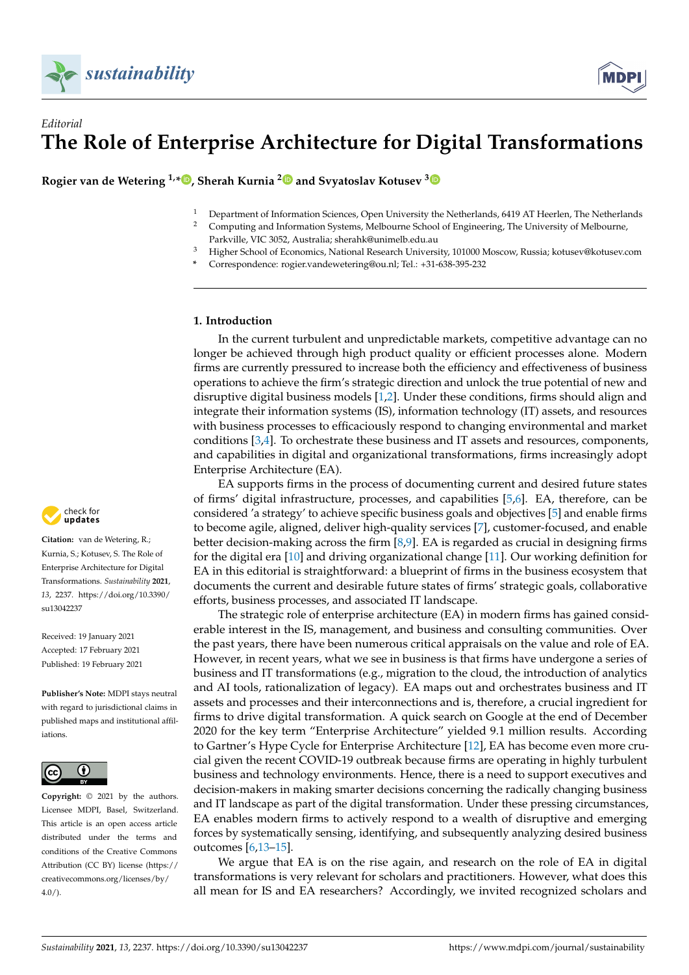

# *Editorial* **The Role of Enterprise Architecture for Digital Transformations**

**Rogier van de Wetering 1,\* [,](https://orcid.org/0000-0002-8024-7120) Sherah Kurnia [2](https://orcid.org/0000-0003-4232-3580) and Svyatoslav Kotusev [3](https://orcid.org/0000-0002-8339-3561)**

- <sup>1</sup> Department of Information Sciences, Open University the Netherlands, 6419 AT Heerlen, The Netherlands
- <sup>2</sup> Computing and Information Systems, Melbourne School of Engineering, The University of Melbourne, Parkville, VIC 3052, Australia; sherahk@unimelb.edu.au
- <sup>3</sup> Higher School of Economics, National Research University, 101000 Moscow, Russia; kotusev@kotusev.com
- **\*** Correspondence: rogier.vandewetering@ou.nl; Tel.: +31-638-395-232

## **1. Introduction**

In the current turbulent and unpredictable markets, competitive advantage can no longer be achieved through high product quality or efficient processes alone. Modern firms are currently pressured to increase both the efficiency and effectiveness of business operations to achieve the firm's strategic direction and unlock the true potential of new and disruptive digital business models [\[1,](#page-3-0)[2\]](#page-3-1). Under these conditions, firms should align and integrate their information systems (IS), information technology (IT) assets, and resources with business processes to efficaciously respond to changing environmental and market conditions [\[3](#page-3-2)[,4\]](#page-3-3). To orchestrate these business and IT assets and resources, components, and capabilities in digital and organizational transformations, firms increasingly adopt Enterprise Architecture (EA).

EA supports firms in the process of documenting current and desired future states of firms' digital infrastructure, processes, and capabilities [\[5](#page-3-4)[,6\]](#page-3-5). EA, therefore, can be considered 'a strategy' to achieve specific business goals and objectives [\[5\]](#page-3-4) and enable firms to become agile, aligned, deliver high-quality services [\[7\]](#page-3-6), customer-focused, and enable better decision-making across the firm [\[8,](#page-3-7)[9\]](#page-3-8). EA is regarded as crucial in designing firms for the digital era [\[10\]](#page-3-9) and driving organizational change [\[11\]](#page-3-10). Our working definition for EA in this editorial is straightforward: a blueprint of firms in the business ecosystem that documents the current and desirable future states of firms' strategic goals, collaborative efforts, business processes, and associated IT landscape.

The strategic role of enterprise architecture (EA) in modern firms has gained considerable interest in the IS, management, and business and consulting communities. Over the past years, there have been numerous critical appraisals on the value and role of EA. However, in recent years, what we see in business is that firms have undergone a series of business and IT transformations (e.g., migration to the cloud, the introduction of analytics and AI tools, rationalization of legacy). EA maps out and orchestrates business and IT assets and processes and their interconnections and is, therefore, a crucial ingredient for firms to drive digital transformation. A quick search on Google at the end of December 2020 for the key term "Enterprise Architecture" yielded 9.1 million results. According to Gartner's Hype Cycle for Enterprise Architecture [\[12\]](#page-3-11), EA has become even more crucial given the recent COVID-19 outbreak because firms are operating in highly turbulent business and technology environments. Hence, there is a need to support executives and decision-makers in making smarter decisions concerning the radically changing business and IT landscape as part of the digital transformation. Under these pressing circumstances, EA enables modern firms to actively respond to a wealth of disruptive and emerging forces by systematically sensing, identifying, and subsequently analyzing desired business outcomes [\[6](#page-3-5)[,13–](#page-3-12)[15\]](#page-3-13).

We argue that EA is on the rise again, and research on the role of EA in digital transformations is very relevant for scholars and practitioners. However, what does this all mean for IS and EA researchers? Accordingly, we invited recognized scholars and



**Citation:** van de Wetering, R.; Kurnia, S.; Kotusev, S. The Role of Enterprise Architecture for Digital Transformations. *Sustainability* **2021**, *13*, 2237. [https://doi.org/10.3390/](https://doi.org/10.3390/su13042237) [su13042237](https://doi.org/10.3390/su13042237)

Received: 19 January 2021 Accepted: 17 February 2021 Published: 19 February 2021

**Publisher's Note:** MDPI stays neutral with regard to jurisdictional claims in published maps and institutional affiliations.



**Copyright:** © 2021 by the authors. Licensee MDPI, Basel, Switzerland. This article is an open access article distributed under the terms and conditions of the Creative Commons Attribution (CC BY) license (https:/[/](https://creativecommons.org/licenses/by/4.0/) [creativecommons.org/licenses/by/](https://creativecommons.org/licenses/by/4.0/)  $4.0/$ ).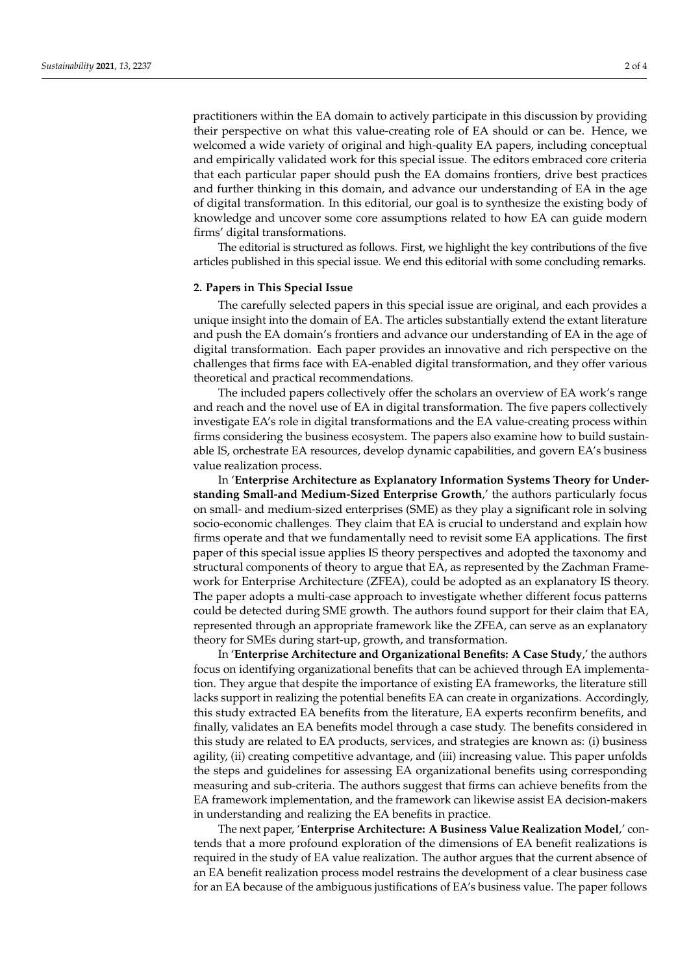practitioners within the EA domain to actively participate in this discussion by providing their perspective on what this value-creating role of EA should or can be. Hence, we welcomed a wide variety of original and high-quality EA papers, including conceptual and empirically validated work for this special issue. The editors embraced core criteria that each particular paper should push the EA domains frontiers, drive best practices and further thinking in this domain, and advance our understanding of EA in the age of digital transformation. In this editorial, our goal is to synthesize the existing body of knowledge and uncover some core assumptions related to how EA can guide modern firms' digital transformations.

The editorial is structured as follows. First, we highlight the key contributions of the five articles published in this special issue. We end this editorial with some concluding remarks.

### **2. Papers in This Special Issue**

The carefully selected papers in this special issue are original, and each provides a unique insight into the domain of EA. The articles substantially extend the extant literature and push the EA domain's frontiers and advance our understanding of EA in the age of digital transformation. Each paper provides an innovative and rich perspective on the challenges that firms face with EA-enabled digital transformation, and they offer various theoretical and practical recommendations.

The included papers collectively offer the scholars an overview of EA work's range and reach and the novel use of EA in digital transformation. The five papers collectively investigate EA's role in digital transformations and the EA value-creating process within firms considering the business ecosystem. The papers also examine how to build sustainable IS, orchestrate EA resources, develop dynamic capabilities, and govern EA's business value realization process.

In '**Enterprise Architecture as Explanatory Information Systems Theory for Understanding Small-and Medium-Sized Enterprise Growth**,' the authors particularly focus on small- and medium-sized enterprises (SME) as they play a significant role in solving socio-economic challenges. They claim that EA is crucial to understand and explain how firms operate and that we fundamentally need to revisit some EA applications. The first paper of this special issue applies IS theory perspectives and adopted the taxonomy and structural components of theory to argue that EA, as represented by the Zachman Framework for Enterprise Architecture (ZFEA), could be adopted as an explanatory IS theory. The paper adopts a multi-case approach to investigate whether different focus patterns could be detected during SME growth. The authors found support for their claim that EA, represented through an appropriate framework like the ZFEA, can serve as an explanatory theory for SMEs during start-up, growth, and transformation.

In '**Enterprise Architecture and Organizational Benefits: A Case Study**,' the authors focus on identifying organizational benefits that can be achieved through EA implementation. They argue that despite the importance of existing EA frameworks, the literature still lacks support in realizing the potential benefits EA can create in organizations. Accordingly, this study extracted EA benefits from the literature, EA experts reconfirm benefits, and finally, validates an EA benefits model through a case study. The benefits considered in this study are related to EA products, services, and strategies are known as: (i) business agility, (ii) creating competitive advantage, and (iii) increasing value. This paper unfolds the steps and guidelines for assessing EA organizational benefits using corresponding measuring and sub-criteria. The authors suggest that firms can achieve benefits from the EA framework implementation, and the framework can likewise assist EA decision-makers in understanding and realizing the EA benefits in practice.

The next paper, '**Enterprise Architecture: A Business Value Realization Model**,' contends that a more profound exploration of the dimensions of EA benefit realizations is required in the study of EA value realization. The author argues that the current absence of an EA benefit realization process model restrains the development of a clear business case for an EA because of the ambiguous justifications of EA's business value. The paper follows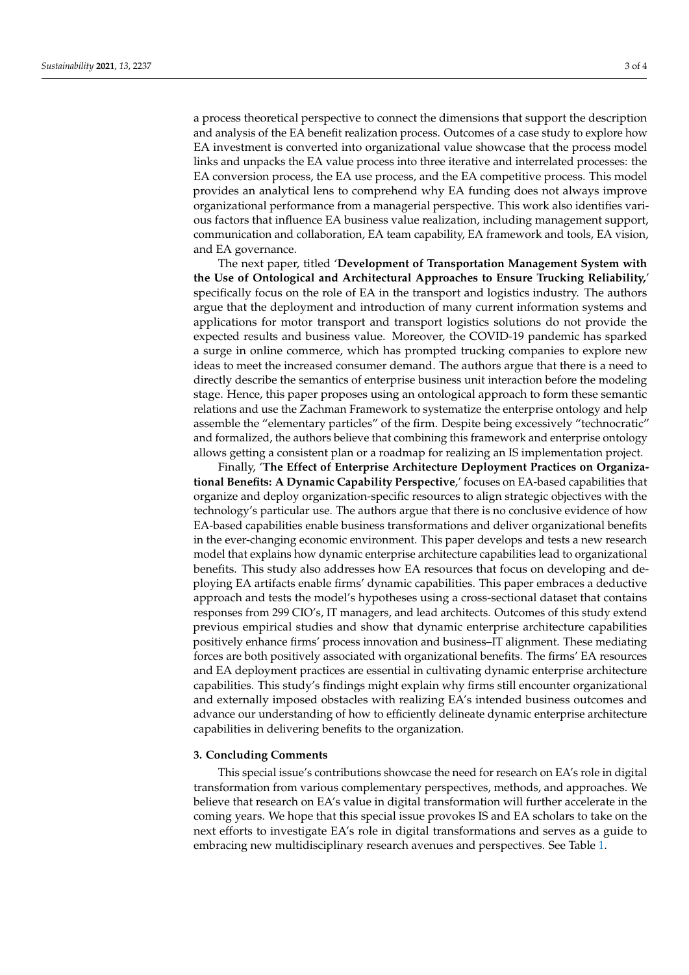a process theoretical perspective to connect the dimensions that support the description and analysis of the EA benefit realization process. Outcomes of a case study to explore how EA investment is converted into organizational value showcase that the process model links and unpacks the EA value process into three iterative and interrelated processes: the EA conversion process, the EA use process, and the EA competitive process. This model provides an analytical lens to comprehend why EA funding does not always improve organizational performance from a managerial perspective. This work also identifies various factors that influence EA business value realization, including management support, communication and collaboration, EA team capability, EA framework and tools, EA vision, and EA governance.

The next paper, titled '**Development of Transportation Management System with the Use of Ontological and Architectural Approaches to Ensure Trucking Reliability,**' specifically focus on the role of EA in the transport and logistics industry. The authors argue that the deployment and introduction of many current information systems and applications for motor transport and transport logistics solutions do not provide the expected results and business value. Moreover, the COVID-19 pandemic has sparked a surge in online commerce, which has prompted trucking companies to explore new ideas to meet the increased consumer demand. The authors argue that there is a need to directly describe the semantics of enterprise business unit interaction before the modeling stage. Hence, this paper proposes using an ontological approach to form these semantic relations and use the Zachman Framework to systematize the enterprise ontology and help assemble the "elementary particles" of the firm. Despite being excessively "technocratic" and formalized, the authors believe that combining this framework and enterprise ontology allows getting a consistent plan or a roadmap for realizing an IS implementation project.

Finally, '**The Effect of Enterprise Architecture Deployment Practices on Organizational Benefits: A Dynamic Capability Perspective**,' focuses on EA-based capabilities that organize and deploy organization-specific resources to align strategic objectives with the technology's particular use. The authors argue that there is no conclusive evidence of how EA-based capabilities enable business transformations and deliver organizational benefits in the ever-changing economic environment. This paper develops and tests a new research model that explains how dynamic enterprise architecture capabilities lead to organizational benefits. This study also addresses how EA resources that focus on developing and deploying EA artifacts enable firms' dynamic capabilities. This paper embraces a deductive approach and tests the model's hypotheses using a cross-sectional dataset that contains responses from 299 CIO's, IT managers, and lead architects. Outcomes of this study extend previous empirical studies and show that dynamic enterprise architecture capabilities positively enhance firms' process innovation and business–IT alignment. These mediating forces are both positively associated with organizational benefits. The firms' EA resources and EA deployment practices are essential in cultivating dynamic enterprise architecture capabilities. This study's findings might explain why firms still encounter organizational and externally imposed obstacles with realizing EA's intended business outcomes and advance our understanding of how to efficiently delineate dynamic enterprise architecture capabilities in delivering benefits to the organization.

#### **3. Concluding Comments**

This special issue's contributions showcase the need for research on EA's role in digital transformation from various complementary perspectives, methods, and approaches. We believe that research on EA's value in digital transformation will further accelerate in the coming years. We hope that this special issue provokes IS and EA scholars to take on the next efforts to investigate EA's role in digital transformations and serves as a guide to embracing new multidisciplinary research avenues and perspectives. See Table [1.](#page-3-14)